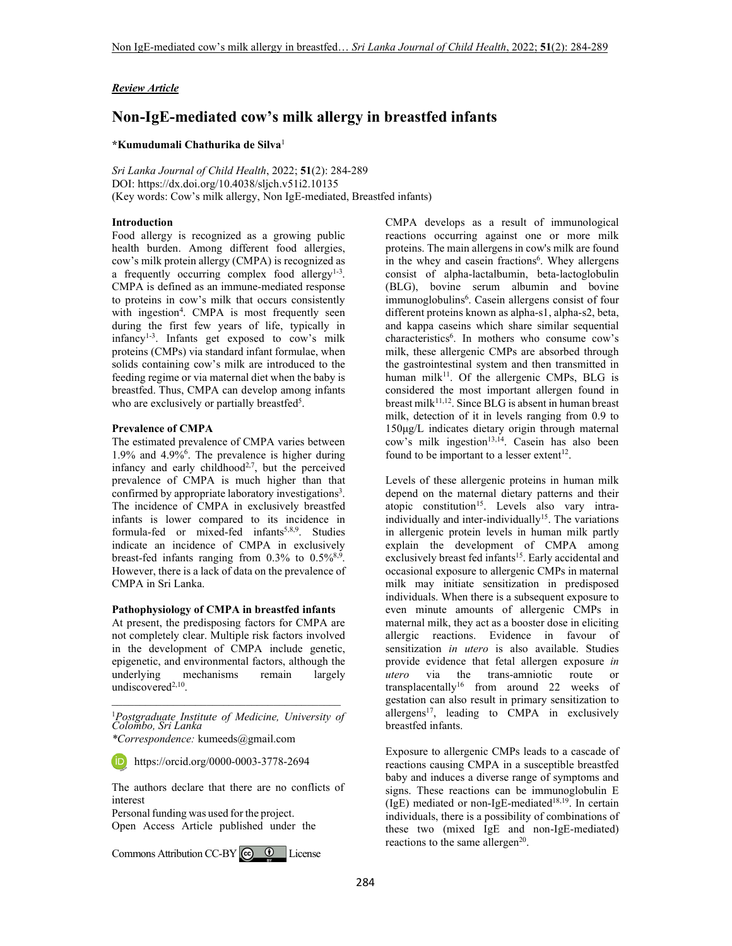# *Review Article*

# **Non-IgE-mediated cow's milk allergy in breastfed infants**

### **\*Kumudumali Chathurika de Silva**<sup>1</sup>

*Sri Lanka Journal of Child Health*, 2022; **51**(2): 284-289 DOI: https://dx.doi.org/10.4038/sljch.v51i2.10135 (Key words: Cow's milk allergy, Non IgE-mediated, Breastfed infants)

## **Introduction**

Food allergy is recognized as a growing public health burden. Among different food allergies, cow's milk protein allergy (CMPA) is recognized as a frequently occurring complex food allergy $1-3$ . CMPA is defined as an immune-mediated response to proteins in cow's milk that occurs consistently with ingestion<sup>4</sup>. CMPA is most frequently seen during the first few years of life, typically in  $infancy<sup>1-3</sup>$ . Infants get exposed to cow's milk proteins (CMPs) via standard infant formulae, when solids containing cow's milk are introduced to the feeding regime or via maternal diet when the baby is breastfed. Thus, CMPA can develop among infants who are exclusively or partially breastfed<sup>5</sup>.

#### **Prevalence of CMPA**

The estimated prevalence of CMPA varies between 1.9% and 4.9%<sup>6</sup> . The prevalence is higher during infancy and early childhood<sup>2,7</sup>, but the perceived prevalence of CMPA is much higher than that confirmed by appropriate laboratory investigations<sup>3</sup>. The incidence of CMPA in exclusively breastfed infants is lower compared to its incidence in formula-fed or mixed-fed infants<sup>5,8,9</sup>. Studies indicate an incidence of CMPA in exclusively breast-fed infants ranging from  $0.3\%$  to  $0.5\%$ <sup>8,9</sup>. However, there is a lack of data on the prevalence of CMPA in Sri Lanka.

# **Pathophysiology of CMPA in breastfed infants**

At present, the predisposing factors for CMPA are not completely clear. Multiple risk factors involved in the development of CMPA include genetic, epigenetic, and environmental factors, although the underlying mechanisms remain largely undiscovered<sup>2,10</sup>.

\_\_\_\_\_\_\_\_\_\_\_\_\_\_\_\_\_\_\_\_\_\_\_\_\_\_\_\_\_\_\_\_\_\_\_\_\_\_\_\_\_ <sup>1</sup>*Postgraduate Institute of Medicine, University of Colombo, Sri Lanka* 

https://orcid.org/0000-0003-3778-2694

The authors declare that there are no conflicts of interest

Personal funding was used for the project. Open Access Article published under the

CommonsAttribution CC-BY  $\bigcirc$  0 License

CMPA develops as a result of immunological reactions occurring against one or more milk proteins. The main allergens in cow's milk are found in the whey and casein fractions<sup>6</sup>. Whey allergens consist of alpha-lactalbumin, beta-lactoglobulin (BLG), bovine serum albumin and bovine immunoglobulins<sup>6</sup>. Casein allergens consist of four different proteins known as alpha-s1, alpha-s2, beta, and kappa caseins which share similar sequential characteristics<sup>6</sup>. In mothers who consume cow's milk, these allergenic CMPs are absorbed through the gastrointestinal system and then transmitted in human milk $11$ . Of the allergenic CMPs, BLG is considered the most important allergen found in breast milk<sup>11,12</sup>. Since BLG is absent in human breast milk, detection of it in levels ranging from 0.9 to 150μg/L indicates dietary origin through maternal  $\cos$ 's milk ingestion<sup>13,14</sup>. Casein has also been found to be important to a lesser extent<sup>12</sup>.

Levels of these allergenic proteins in human milk depend on the maternal dietary patterns and their atopic constitution<sup>15</sup>. Levels also vary intraindividually and inter-individually<sup>15</sup>. The variations in allergenic protein levels in human milk partly explain the development of CMPA among exclusively breast fed infants<sup>15</sup>. Early accidental and occasional exposure to allergenic CMPs in maternal milk may initiate sensitization in predisposed individuals. When there is a subsequent exposure to even minute amounts of allergenic CMPs in maternal milk, they act as a booster dose in eliciting allergic reactions. Evidence in favour of sensitization *in utero* is also available. Studies provide evidence that fetal allergen exposure *in utero* via the trans-amniotic route or transplacentally<sup>16</sup> from around 22 weeks of gestation can also result in primary sensitization to allergens<sup>17</sup>, leading to CMPA in exclusively breastfed infants.

Exposure to allergenic CMPs leads to a cascade of reactions causing CMPA in a susceptible breastfed baby and induces a diverse range of symptoms and signs. These reactions can be immunoglobulin E (IgE) mediated or non-IgE-mediated<sup>18,19</sup>. In certain individuals, there is a possibility of combinations of these two (mixed IgE and non-IgE-mediated) reactions to the same allergen<sup>20</sup>.

*<sup>\*</sup>Correspondence:* kumeeds@gmail.com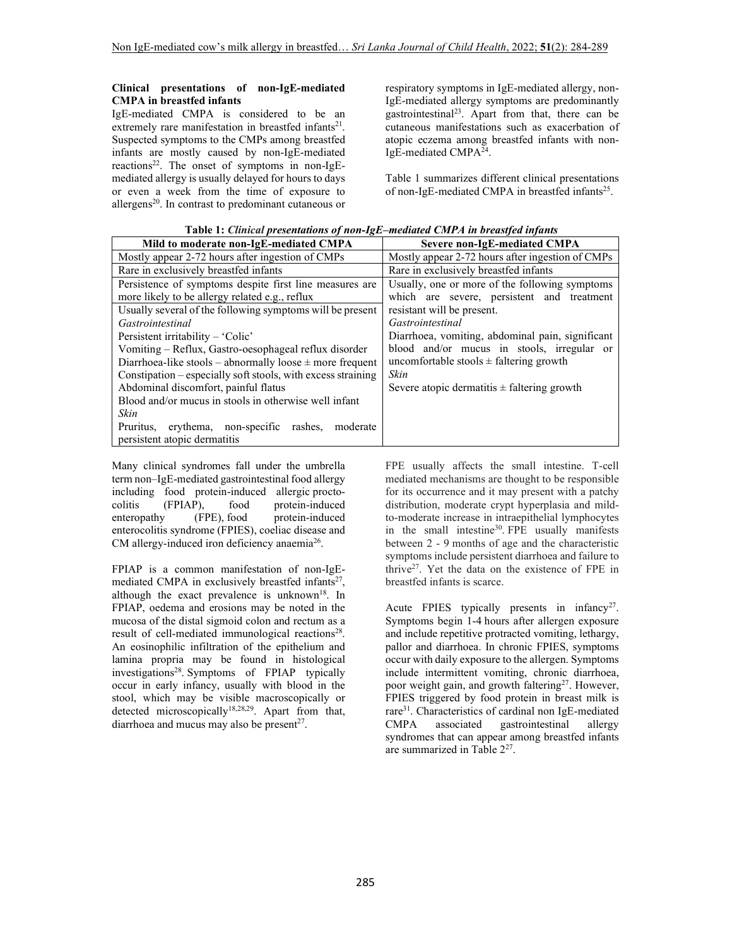## **Clinical presentations of non-IgE-mediated CMPA in breastfed infants**

IgE-mediated CMPA is considered to be an extremely rare manifestation in breastfed infants<sup>21</sup>. Suspected symptoms to the CMPs among breastfed infants are mostly caused by non-IgE-mediated reactions<sup>22</sup>. The onset of symptoms in non-IgEmediated allergy is usually delayed for hours to days or even a week from the time of exposure to allergens<sup>20</sup>. In contrast to predominant cutaneous or

respiratory symptoms in IgE-mediated allergy, non-IgE-mediated allergy symptoms are predominantly gastrointestinal<sup>23</sup>. Apart from that, there can be cutaneous manifestations such as exacerbation of atopic eczema among breastfed infants with non-IgE-mediated CMPA<sup>24</sup>.

Table 1 summarizes different clinical presentations of non-IgE-mediated CMPA in breastfed infants<sup>25</sup>.

| <b>Table 1.</b> Cunical presentations of non-igh-meatured CMI A in breasifed infants |                                                  |  |
|--------------------------------------------------------------------------------------|--------------------------------------------------|--|
| Mild to moderate non-IgE-mediated CMPA                                               | Severe non-IgE-mediated CMPA                     |  |
| Mostly appear 2-72 hours after ingestion of CMPs                                     | Mostly appear 2-72 hours after ingestion of CMPs |  |
| Rare in exclusively breastfed infants                                                | Rare in exclusively breastfed infants            |  |
| Persistence of symptoms despite first line measures are                              | Usually, one or more of the following symptoms   |  |
| more likely to be allergy related e.g., reflux                                       | which are severe, persistent and treatment       |  |
| Usually several of the following symptoms will be present                            | resistant will be present.                       |  |
| Gastrointestinal                                                                     | Gastrointestinal                                 |  |
| Persistent irritability – 'Colic'                                                    | Diarrhoea, vomiting, abdominal pain, significant |  |
| Vomiting - Reflux, Gastro-oesophageal reflux disorder                                | blood and/or mucus in stools, irregular or       |  |
| Diarrhoea-like stools – abnormally loose $\pm$ more frequent                         | uncomfortable stools $\pm$ faltering growth      |  |
| Constipation – especially soft stools, with excess straining                         | Skin                                             |  |
| Abdominal discomfort, painful flatus                                                 | Severe atopic dermatitis $\pm$ faltering growth  |  |
| Blood and/or mucus in stools in otherwise well infant                                |                                                  |  |
| Skin                                                                                 |                                                  |  |
| Pruritus, erythema, non-specific rashes, moderate                                    |                                                  |  |
| persistent atopic dermatitis                                                         |                                                  |  |

 **Table 1:** *Clinical presentations of non-IgE–mediated CMPA in breastfed infants* 

Many clinical syndromes fall under the umbrella term non–IgE-mediated gastrointestinal food allergy including food protein-induced allergic proctocolitis (FPIAP), food protein-induced enteropathy (FPE), food protein-induced enterocolitis syndrome (FPIES), coeliac disease and CM allergy-induced iron deficiency anaemia<sup>26</sup>.

FPIAP is a common manifestation of non-IgEmediated CMPA in exclusively breastfed infants<sup>27</sup>, although the exact prevalence is unknown<sup>18</sup>. In FPIAP, oedema and erosions may be noted in the mucosa of the distal sigmoid colon and rectum as a result of cell-mediated immunological reactions<sup>28</sup>. An eosinophilic infiltration of the epithelium and lamina propria may be found in histological investigations<sup>28</sup>. Symptoms of FPIAP typically occur in early infancy, usually with blood in the stool, which may be visible macroscopically or detected microscopically<sup>18,28,29</sup>. Apart from that, diarrhoea and mucus may also be present $2^7$ .

FPE usually affects the small intestine. T-cell mediated mechanisms are thought to be responsible for its occurrence and it may present with a patchy distribution, moderate crypt hyperplasia and mildto-moderate increase in intraepithelial lymphocytes in the small intestine<sup>30</sup>. FPE usually manifests between 2 - 9 months of age and the characteristic symptoms include persistent diarrhoea and failure to thrive<sup>27</sup>. Yet the data on the existence of FPE in breastfed infants is scarce.

Acute FPIES typically presents in infancy<sup>27</sup>. Symptoms begin 1-4 hours after allergen exposure and include repetitive protracted vomiting, lethargy, pallor and diarrhoea. In chronic FPIES, symptoms occur with daily exposure to the allergen. Symptoms include intermittent vomiting, chronic diarrhoea, poor weight gain, and growth faltering<sup>27</sup>. However, FPIES triggered by food protein in breast milk is rare<sup>31</sup>. Characteristics of cardinal non IgE-mediated<br>CMPA associated gastrointestinal allergy gastrointestinal allergy syndromes that can appear among breastfed infants are summarized in Table 2<sup>27</sup>.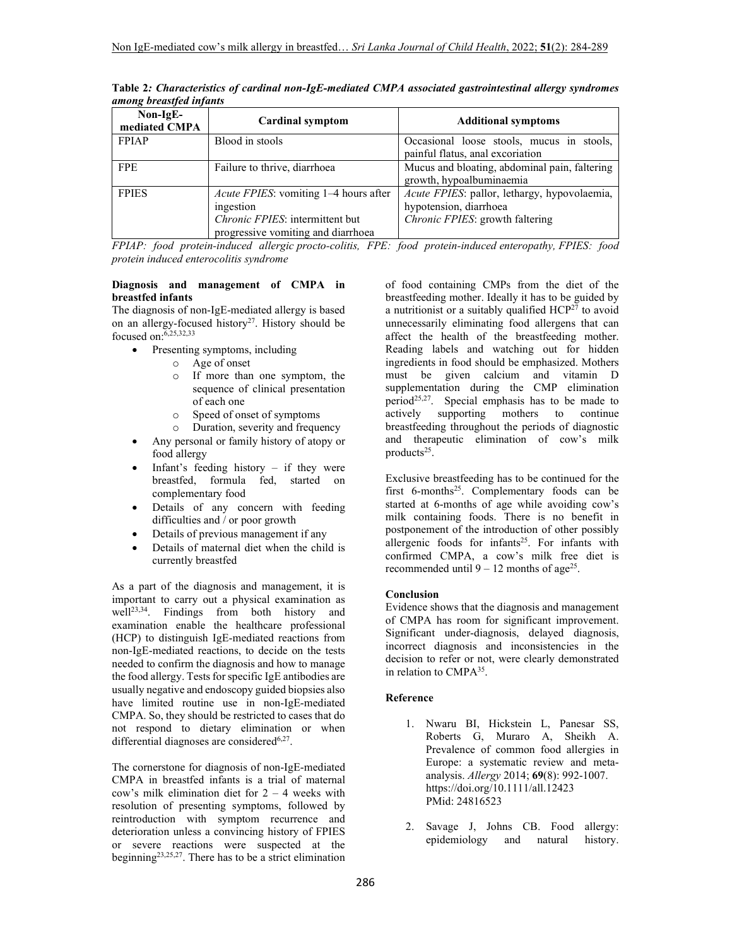| $Non-IgE-$<br>mediated CMPA | <b>Cardinal symptom</b>                                                                                                            | <b>Additional symptoms</b>                                                                                |
|-----------------------------|------------------------------------------------------------------------------------------------------------------------------------|-----------------------------------------------------------------------------------------------------------|
| <b>FPIAP</b>                | Blood in stools                                                                                                                    | Occasional loose stools, mucus in stools,<br>painful flatus, anal excoriation                             |
| <b>FPE</b>                  | Failure to thrive, diarrhoea                                                                                                       | Mucus and bloating, abdominal pain, faltering<br>growth, hypoalbuminaemia                                 |
| <b>FPIES</b>                | <i>Acute FPIES:</i> vomiting 1–4 hours after<br>ingestion<br>Chronic FPIES: intermittent but<br>progressive vomiting and diarrhoea | Acute FPIES: pallor, lethargy, hypovolaemia,<br>hypotension, diarrhoea<br>Chronic FPIES: growth faltering |

**Table 2***: Characteristics of cardinal non-IgE-mediated CMPA associated gastrointestinal allergy syndromes among breastfed infants*

*FPIAP: food protein-induced allergic procto-colitis, FPE: food protein-induced enteropathy, FPIES: food protein induced enterocolitis syndrome* 

## **Diagnosis and management of CMPA in breastfed infants**

The diagnosis of non-IgE-mediated allergy is based on an allergy-focused history<sup>27</sup>. History should be focused on:6,25,32,33

- Presenting symptoms, including
	- o Age of onset
		- o If more than one symptom, the sequence of clinical presentation of each one
		- o Speed of onset of symptoms
		- o Duration, severity and frequency
- Any personal or family history of atopy or food allergy
- Infant's feeding history if they were breastfed, formula fed, started on complementary food
- Details of any concern with feeding difficulties and / or poor growth
- Details of previous management if any
- Details of maternal diet when the child is currently breastfed

As a part of the diagnosis and management, it is important to carry out a physical examination as well23,34. Findings from both history and examination enable the healthcare professional (HCP) to distinguish IgE-mediated reactions from non-IgE-mediated reactions, to decide on the tests needed to confirm the diagnosis and how to manage the food allergy. Tests for specific IgE antibodies are usually negative and endoscopy guided biopsies also have limited routine use in non-IgE-mediated CMPA. So, they should be restricted to cases that do not respond to dietary elimination or when differential diagnoses are considered $6,27$ .

The cornerstone for diagnosis of non-IgE-mediated CMPA in breastfed infants is a trial of maternal cow's milk elimination diet for 2 – 4 weeks with resolution of presenting symptoms, followed by reintroduction with symptom recurrence and deterioration unless a convincing history of FPIES or severe reactions were suspected at the beginning<sup>23,25,27</sup>. There has to be a strict elimination

of food containing CMPs from the diet of the breastfeeding mother. Ideally it has to be guided by a nutritionist or a suitably qualified  $HCP^{27}$  to avoid unnecessarily eliminating food allergens that can affect the health of the breastfeeding mother. Reading labels and watching out for hidden ingredients in food should be emphasized. Mothers must be given calcium and vitamin D supplementation during the CMP elimination period<sup>25,27</sup>. Special emphasis has to be made to actively supporting mothers to continue breastfeeding throughout the periods of diagnostic and therapeutic elimination of cow's milk products<sup>25</sup>.

Exclusive breastfeeding has to be continued for the first  $6$ -months<sup>25</sup>. Complementary foods can be started at 6-months of age while avoiding cow's milk containing foods. There is no benefit in postponement of the introduction of other possibly allergenic foods for infants<sup>25</sup>. For infants with confirmed CMPA, a cow's milk free diet is recommended until  $9 - 12$  months of age<sup>25</sup>.

## **Conclusion**

Evidence shows that the diagnosis and management of CMPA has room for significant improvement. Significant under-diagnosis, delayed diagnosis, incorrect diagnosis and inconsistencies in the decision to refer or not, were clearly demonstrated in relation to CMPA<sup>35</sup> .

## **Reference**

- 1. Nwaru BI, Hickstein L, Panesar SS, Roberts G, Muraro A, Sheikh A. Prevalence of common food allergies in Europe: a systematic review and metaanalysis. *Allergy* 2014; **69**(8): 992-1007. https://doi.org/10.1111/all.12423 PMid: 24816523
- 2. Savage J, Johns CB. Food allergy: epidemiology and natural history.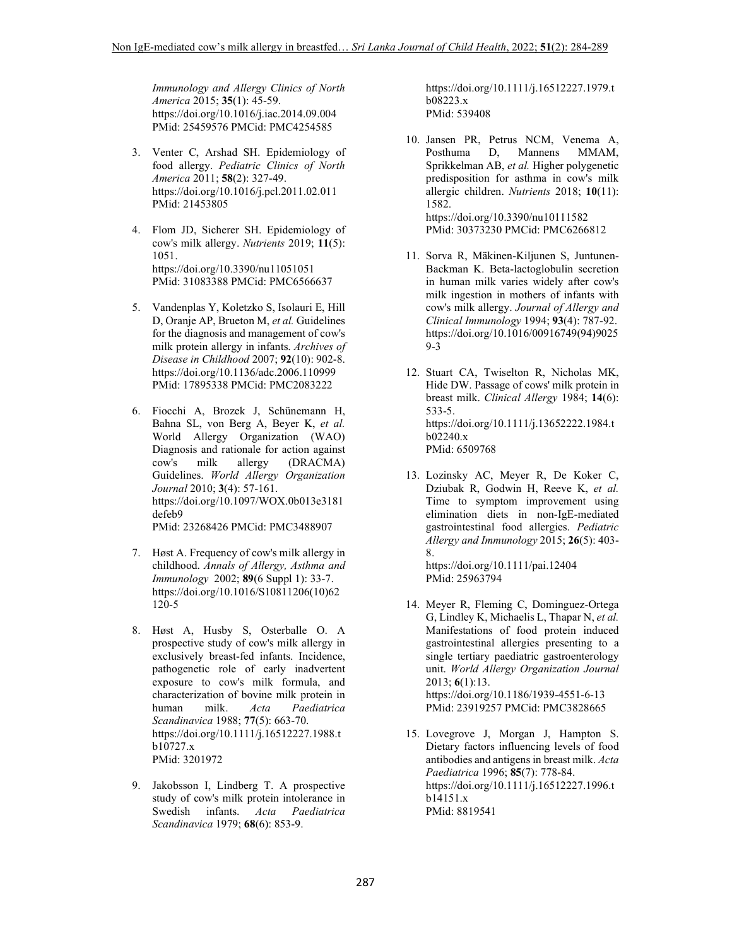*Immunology and Allergy Clinics of North America* 2015; **35**(1): 45-59. https://doi.org/10.1016/j.iac.2014.09.004 PMid: 25459576 PMCid: PMC4254585

- 3. Venter C, Arshad SH. Epidemiology of food allergy. *Pediatric Clinics of North America* 2011; **58**(2): 327-49. https://doi.org/10.1016/j.pcl.2011.02.011 PMid: 21453805
- 4. Flom JD, Sicherer SH. Epidemiology of cow's milk allergy. *Nutrients* 2019; **11**(5): 1051. https://doi.org/10.3390/nu11051051 PMid: 31083388 PMCid: PMC6566637
- 5. Vandenplas Y, Koletzko S, Isolauri E, Hill D, Oranje AP, Brueton M, *et al.* Guidelines for the diagnosis and management of cow's milk protein allergy in infants. *Archives of Disease in Childhood* 2007; **92**(10): 902-8. https://doi.org/10.1136/adc.2006.110999 PMid: 17895338 PMCid: PMC2083222
- 6. Fiocchi A, Brozek J, Schünemann H, Bahna SL, von Berg A, Beyer K, *et al.* World Allergy Organization (WAO) Diagnosis and rationale for action against cow's milk allergy (DRACMA) Guidelines. *World Allergy Organization Journal* 2010; **3**(4): 57-161. https://doi.org/10.1097/WOX.0b013e3181 defeb9 PMid: 23268426 PMCid: PMC3488907
- 7. Høst A. Frequency of cow's milk allergy in childhood. *Annals of Allergy, Asthma and Immunology* 2002; **89**(6 Suppl 1): 33-7. https://doi.org/10.1016/S10811206(10)62 120-5
- 8. Høst A, Husby S, Osterballe O. A prospective study of cow's milk allergy in exclusively breast-fed infants. Incidence, pathogenetic role of early inadvertent exposure to cow's milk formula, and characterization of bovine milk protein in human milk. *Acta Paediatrica Scandinavica* 1988; **77**(5): 663-70. https://doi.org/10.1111/j.16512227.1988.t b10727.x PMid: 3201972
- 9. Jakobsson I, Lindberg T. A prospective study of cow's milk protein intolerance in Swedish infants. *Acta Paediatrica Scandinavica* 1979; **68**(6): 853-9.

https://doi.org/10.1111/j.16512227.1979.t b08223.x PMid: 539408

- 10. Jansen PR, Petrus NCM, Venema A, Posthuma D, Mannens MMAM, **Mannens** Sprikkelman AB, *et al.* Higher polygenetic predisposition for asthma in cow's milk allergic children. *Nutrients* 2018; **10**(11): 1582. https://doi.org/10.3390/nu10111582 PMid: 30373230 PMCid: PMC6266812
- 11. Sorva R, Mäkinen-Kiljunen S, Juntunen-Backman K. Beta-lactoglobulin secretion in human milk varies widely after cow's milk ingestion in mothers of infants with cow's milk allergy. *Journal of Allergy and Clinical Immunology* 1994; **93**(4): 787-92. https://doi.org/10.1016/00916749(94)9025 9-3
- 12. Stuart CA, Twiselton R, Nicholas MK, Hide DW. Passage of cows' milk protein in breast milk. *Clinical Allergy* 1984; **14**(6): 533-5. https://doi.org/10.1111/j.13652222.1984.t b02240.x PMid: 6509768
- 13. Lozinsky AC, Meyer R, De Koker C, Dziubak R, Godwin H, Reeve K, *et al.* Time to symptom improvement using elimination diets in non-IgE-mediated gastrointestinal food allergies. *Pediatric Allergy and Immunology* 2015; **26**(5): 403- 8. https://doi.org/10.1111/pai.12404

PMid: 25963794

- 14. Meyer R, Fleming C, Dominguez-Ortega G, Lindley K, Michaelis L, Thapar N, *et al.* Manifestations of food protein induced gastrointestinal allergies presenting to a single tertiary paediatric gastroenterology unit. *World Allergy Organization Journal* 2013; **6**(1):13. https://doi.org/10.1186/1939-4551-6-13 PMid: 23919257 PMCid: PMC3828665
- 15. Lovegrove J, Morgan J, Hampton S. Dietary factors influencing levels of food antibodies and antigens in breast milk. *Acta Paediatrica* 1996; **85**(7): 778-84. https://doi.org/10.1111/j.16512227.1996.t b14151.x PMid: 8819541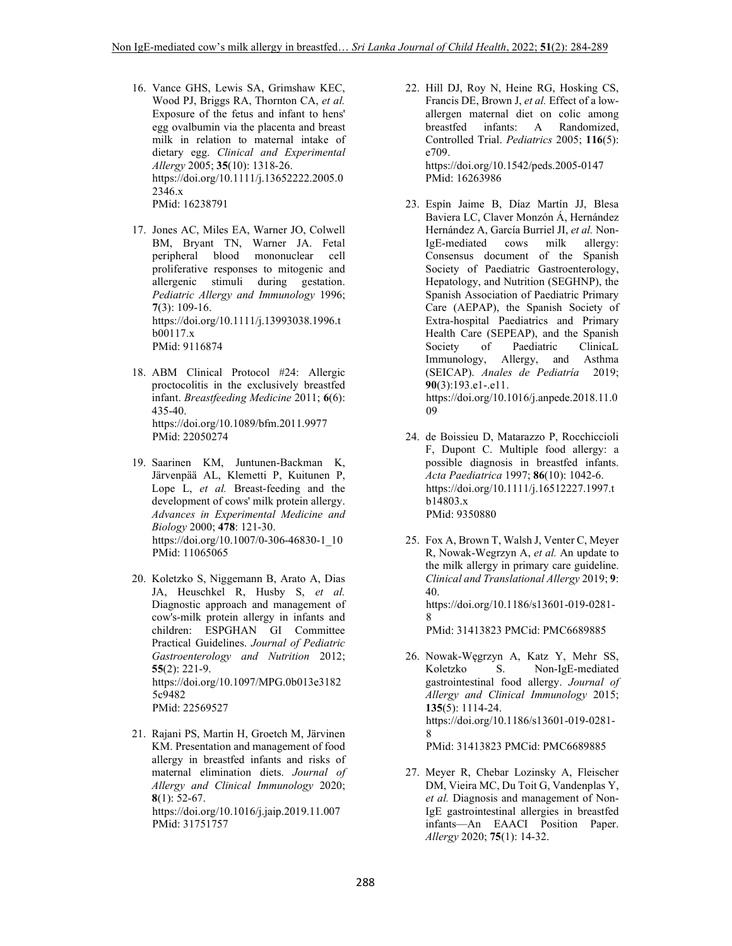- 16. Vance GHS, Lewis SA, Grimshaw KEC, Wood PJ, Briggs RA, Thornton CA, *et al.* Exposure of the fetus and infant to hens' egg ovalbumin via the placenta and breast milk in relation to maternal intake of dietary egg. *Clinical and Experimental Allergy* 2005; **35**(10): 1318-26. https://doi.org/10.1111/j.13652222.2005.0 2346.x PMid: 16238791
- 17. Jones AC, Miles EA, Warner JO, Colwell BM, Bryant TN, Warner JA. Fetal peripheral blood mononuclear cell proliferative responses to mitogenic and allergenic stimuli during gestation. *Pediatric Allergy and Immunology* 1996; **7**(3): 109-16. https://doi.org/10.1111/j.13993038.1996.t b00117.x PMid: 9116874
- 18. ABM Clinical Protocol #24: Allergic proctocolitis in the exclusively breastfed infant. *Breastfeeding Medicine* 2011; **6**(6): 435-40. https://doi.org/10.1089/bfm.2011.9977 PMid: 22050274
- 19. Saarinen KM, Juntunen-Backman K, Järvenpää AL, Klemetti P, Kuitunen P, Lope L, *et al.* Breast-feeding and the development of cows' milk protein allergy. *Advances in Experimental Medicine and Biology* 2000; **478**: 121-30. https://doi.org/10.1007/0-306-46830-1\_10 PMid: 11065065
- 20. Koletzko S, Niggemann B, Arato A, Dias JA, Heuschkel R, Husby S, *et al.* Diagnostic approach and management of cow's-milk protein allergy in infants and children: ESPGHAN GI Committee Practical Guidelines. *Journal of Pediatric Gastroenterology and Nutrition* 2012; **55**(2): 221-9. https://doi.org/10.1097/MPG.0b013e3182 5c9482 PMid: 22569527
- 21. Rajani PS, Martin H, Groetch M, Järvinen KM. Presentation and management of food allergy in breastfed infants and risks of maternal elimination diets. *Journal of Allergy and Clinical Immunology* 2020; **8**(1): 52-67. https://doi.org/10.1016/j.jaip.2019.11.007 PMid: 31751757

22. Hill DJ, Roy N, Heine RG, Hosking CS, Francis DE, Brown J, *et al.* Effect of a lowallergen maternal diet on colic among breastfed infants: A Randomized, Controlled Trial. *Pediatrics* 2005; **116**(5): e709. https://doi.org/10.1542/peds.2005-0147

PMid: 16263986

- 23. Espín Jaime B, Díaz Martín JJ, Blesa Baviera LC, Claver Monzón Á, Hernández Hernández A, García Burriel JI, *et al.* Non-IgE-mediated cows milk allergy: Consensus document of the Spanish Society of Paediatric Gastroenterology, Hepatology, and Nutrition (SEGHNP), the Spanish Association of Paediatric Primary Care (AEPAP), the Spanish Society of Extra-hospital Paediatrics and Primary Health Care (SEPEAP), and the Spanish Society of Paediatric ClinicaL Immunology, Allergy, and Asthma (SEICAP). *Anales de Pediatría* 2019; **90**(3):193.e1-.e11. https://doi.org/10.1016/j.anpede.2018.11.0 09
- 24. de Boissieu D, Matarazzo P, Rocchiccioli F, Dupont C. Multiple food allergy: a possible diagnosis in breastfed infants. *Acta Paediatrica* 1997; **86**(10): 1042-6. https://doi.org/10.1111/j.16512227.1997.t b14803.x PMid: 9350880
- 25. Fox A, Brown T, Walsh J, Venter C, Meyer R, Nowak-Wegrzyn A, *et al.* An update to the milk allergy in primary care guideline. *Clinical and Translational Allergy* 2019; **9**: 40. https://doi.org/10.1186/s13601-019-0281- 8 PMid: 31413823 PMCid: PMC6689885
- 26. Nowak-Węgrzyn A, Katz Y, Mehr SS, Koletzko S. Non-IgE-mediated gastrointestinal food allergy. *Journal of Allergy and Clinical Immunology* 2015; **135**(5): 1114-24. https://doi.org/10.1186/s13601-019-0281- 8 PMid: 31413823 PMCid: PMC6689885
- 27. Meyer R, Chebar Lozinsky A, Fleischer DM, Vieira MC, Du Toit G, Vandenplas Y, *et al.* Diagnosis and management of Non-IgE gastrointestinal allergies in breastfed infants—An EAACI Position Paper. *Allergy* 2020; **75**(1): 14-32.